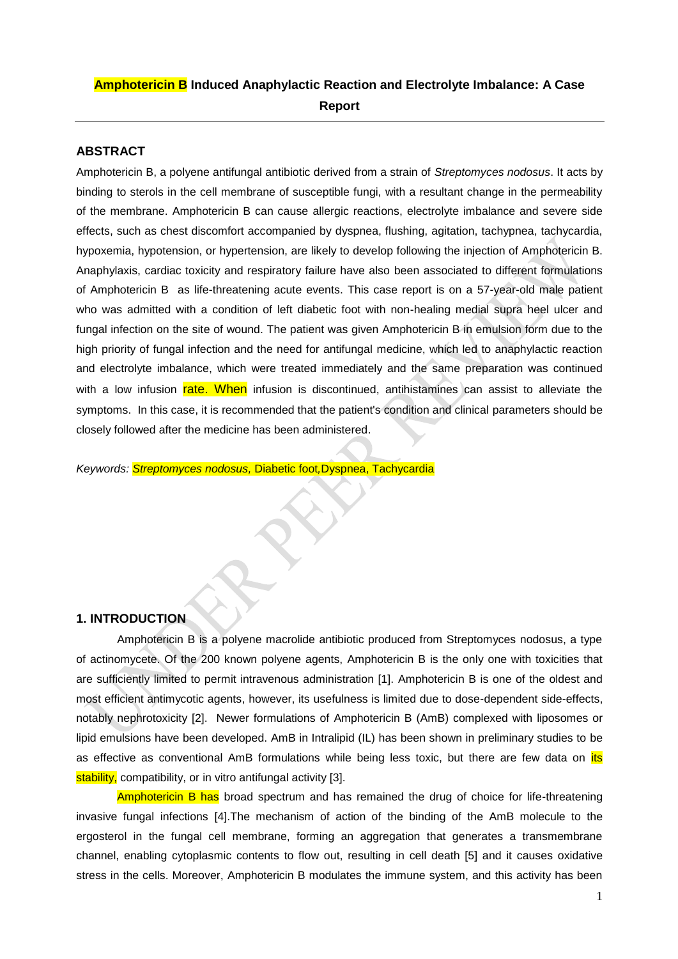# **Amphotericin B Induced Anaphylactic Reaction and Electrolyte Imbalance: A Case Report**

# **ABSTRACT**

Amphotericin B, a polyene antifungal antibiotic derived from a strain of *Streptomyces nodosus*. It acts by binding to sterols in the cell membrane of susceptible fungi, with a resultant change in the permeability of the membrane. Amphotericin B can cause allergic reactions, electrolyte imbalance and severe side effects, such as chest discomfort accompanied by dyspnea, flushing, agitation, tachypnea, tachycardia, hypoxemia, hypotension, or hypertension, are likely to develop following the injection of Amphotericin B. Anaphylaxis, cardiac toxicity and respiratory failure have also been associated to different formulations of Amphotericin B as life-threatening acute events. This case report is on a 57-year-old male patient who was admitted with a condition of left diabetic foot with non-healing medial supra heel ulcer and fungal infection on the site of wound. The patient was given Amphotericin B in emulsion form due to the high priority of fungal infection and the need for antifungal medicine, which led to anaphylactic reaction and electrolyte imbalance, which were treated immediately and the same preparation was continued with a low infusion rate. When infusion is discontinued, antihistamines can assist to alleviate the symptoms. In this case, it is recommended that the patient's condition and clinical parameters should be closely followed after the medicine has been administered.

*Keywords: Streptomyces nodosus,* Diabetic foot*,*Dyspnea, Tachycardia

# **1. INTRODUCTION**

Amphotericin B is a polyene macrolide antibiotic produced from Streptomyces nodosus, a type of actinomycete. Of the 200 known polyene agents, Amphotericin B is the only one with toxicities that are sufficiently limited to permit intravenous administration [1]. Amphotericin B is one of the oldest and most efficient antimycotic agents, however, its usefulness is limited due to dose-dependent side-effects, notably nephrotoxicity [2]. Newer formulations of Amphotericin B (AmB) complexed with liposomes or lipid emulsions have been developed. AmB in Intralipid (IL) has been shown in preliminary studies to be as effective as conventional AmB formulations while being less toxic, but there are few data on its stability, compatibility, or in vitro antifungal activity [3].

Amphotericin B has broad spectrum and has remained the drug of choice for life-threatening invasive fungal infections [4].The mechanism of action of the binding of the AmB molecule to the ergosterol in the fungal cell membrane, forming an aggregation that generates a transmembrane channel, enabling cytoplasmic contents to flow out, resulting in cell death [5] and it causes oxidative stress in the cells. Moreover, Amphotericin B modulates the immune system, and this activity has been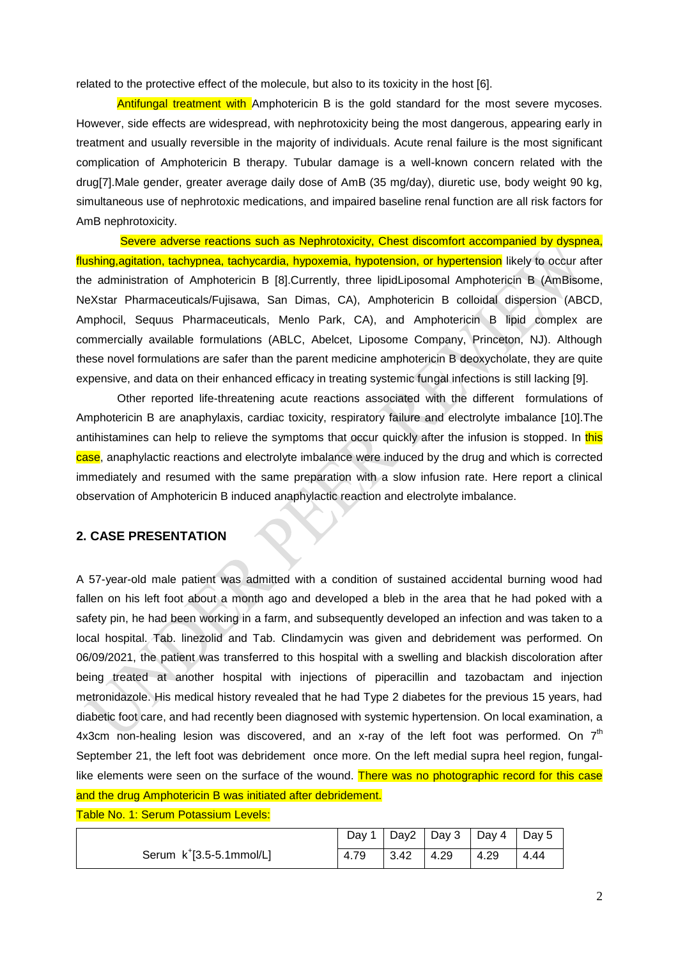related to the protective effect of the molecule, but also to its toxicity in the host [6].

Antifungal treatment with Amphotericin B is the gold standard for the most severe mycoses. However, side effects are widespread, with nephrotoxicity being the most dangerous, appearing early in treatment and usually reversible in the majority of individuals. Acute renal failure is the most significant complication of Amphotericin B therapy. Tubular damage is a well-known concern related with the drug[7].Male gender, greater average daily dose of AmB (35 mg/day), diuretic use, body weight 90 kg, simultaneous use of nephrotoxic medications, and impaired baseline renal function are all risk factors for AmB nephrotoxicity.

Severe adverse reactions such as Nephrotoxicity, Chest discomfort accompanied by dyspnea, flushing, agitation, tachypnea, tachycardia, hypoxemia, hypotension, or hypertension likely to occur after the administration of Amphotericin B [8].Currently, three lipidLiposomal Amphotericin B (AmBisome, NeXstar Pharmaceuticals/Fujisawa, San Dimas, CA), Amphotericin B colloidal dispersion (ABCD, Amphocil, Sequus Pharmaceuticals, Menlo Park, CA), and Amphotericin B lipid complex are commercially available formulations (ABLC, Abelcet, Liposome Company, Princeton, NJ). Although these novel formulations are safer than the parent medicine amphotericin B deoxycholate, they are quite expensive, and data on their enhanced efficacy in treating systemic fungal infections is still lacking [9].

Other reported life-threatening acute reactions associated with the different formulations of Amphotericin B are anaphylaxis, cardiac toxicity, respiratory failure and electrolyte imbalance [10].The antihistamines can help to relieve the symptoms that occur quickly after the infusion is stopped. In this case, anaphylactic reactions and electrolyte imbalance were induced by the drug and which is corrected immediately and resumed with the same preparation with a slow infusion rate. Here report a clinical observation of Amphotericin B induced anaphylactic reaction and electrolyte imbalance.

# **2. CASE PRESENTATION**

A 57-year-old male patient was admitted with a condition of sustained accidental burning wood had fallen on his left foot about a month ago and developed a bleb in the area that he had poked with a safety pin, he had been working in a farm, and subsequently developed an infection and was taken to a local hospital. Tab. linezolid and Tab. Clindamycin was given and debridement was performed. On 06/09/2021, the patient was transferred to this hospital with a swelling and blackish discoloration after being treated at another hospital with injections of piperacillin and tazobactam and injection metronidazole. His medical history revealed that he had Type 2 diabetes for the previous 15 years, had diabetic foot care, and had recently been diagnosed with systemic hypertension. On local examination, a 4x3cm non-healing lesion was discovered, and an x-ray of the left foot was performed. On  $7<sup>th</sup>$ September 21, the left foot was debridement once more. On the left medial supra heel region, fungallike elements were seen on the surface of the wound. There was no photographic record for this case and the drug Amphotericin B was initiated after debridement.

Table No. 1: Serum Potassium Levels:

|                                      |      |                                                                  | Day 1   Day2   Day 3   Day 4   Day 5 |      |      |
|--------------------------------------|------|------------------------------------------------------------------|--------------------------------------|------|------|
| Serum k <sup>+</sup> [3.5-5.1mmol/L] | 4.79 | $\begin{array}{c} \end{array} \begin{array}{c} 3.42 \end{array}$ | 4.29                                 | 4.29 | 4.44 |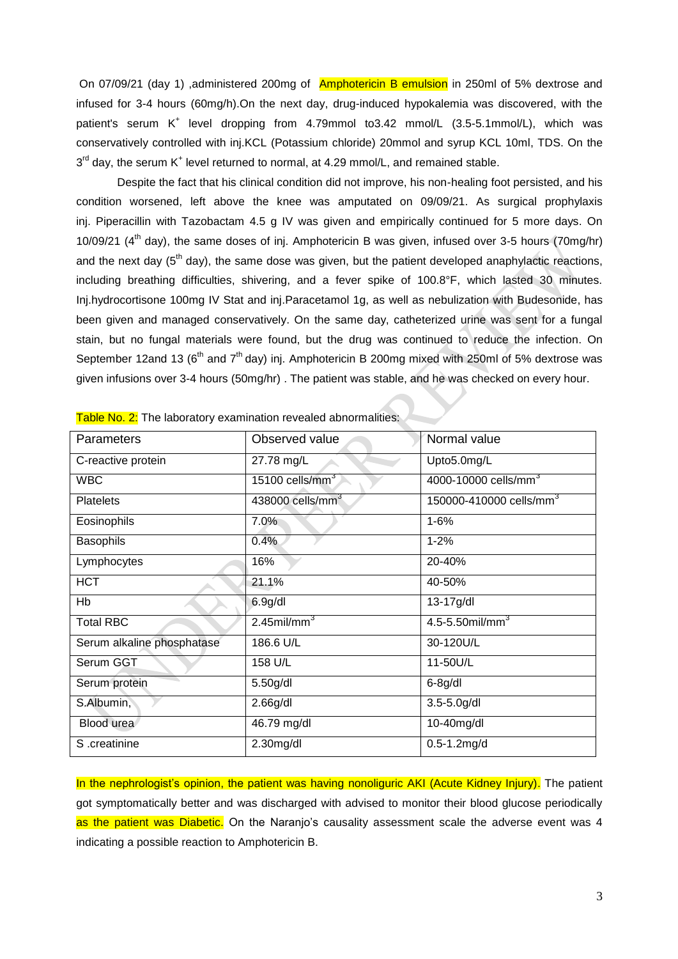On 07/09/21 (day 1) ,administered 200mg of Amphotericin B emulsion in 250ml of 5% dextrose and infused for 3-4 hours (60mg/h).On the next day, drug-induced hypokalemia was discovered, with the patient's serum K<sup>+</sup> level dropping from 4.79mmol to3.42 mmol/L (3.5-5.1mmol/L), which was conservatively controlled with inj.KCL (Potassium chloride) 20mmol and syrup KCL 10ml, TDS. On the 3<sup>rd</sup> day, the serum K<sup>+</sup> level returned to normal, at 4.29 mmol/L, and remained stable.

Despite the fact that his clinical condition did not improve, his non-healing foot persisted, and his condition worsened, left above the knee was amputated on 09/09/21. As surgical prophylaxis inj. Piperacillin with Tazobactam 4.5 g IV was given and empirically continued for 5 more days. On 10/09/21 (4<sup>th</sup> day), the same doses of inj. Amphotericin B was given, infused over 3-5 hours (70mg/hr) and the next day (5<sup>th</sup> day), the same dose was given, but the patient developed anaphylactic reactions, including breathing difficulties, shivering, and a fever spike of 100.8°F, which lasted 30 minutes. Inj.hydrocortisone 100mg IV Stat and inj.Paracetamol 1g, as well as nebulization with Budesonide, has been given and managed conservatively. On the same day, catheterized urine was sent for a fungal stain, but no fungal materials were found, but the drug was continued to reduce the infection. On September 12and 13 ( $6<sup>th</sup>$  and  $7<sup>th</sup>$  day) inj. Amphotericin B 200mg mixed with 250ml of 5% dextrose was given infusions over 3-4 hours (50mg/hr) . The patient was stable, and he was checked on every hour.

| Parameters                 | Observed value             | Normal value                        |
|----------------------------|----------------------------|-------------------------------------|
| C-reactive protein         | 27.78 mg/L                 | Upto5.0mg/L                         |
| <b>WBC</b>                 | 15100 cells/ $\text{mm}^3$ | 4000-10000 cells/mm <sup>3</sup>    |
| <b>Platelets</b>           | 438000 cells/mm $^3$       | 150000-410000 cells/mm <sup>3</sup> |
| Eosinophils                | 7.0%                       | $1 - 6%$                            |
| <b>Basophils</b>           | 0.4%                       | $1 - 2%$                            |
| Lymphocytes                | 16%                        | 20-40%                              |
| <b>HCT</b>                 | 21.1%                      | 40-50%                              |
| Hb                         | 6.9 <sub>g</sub> /dl       | 13-17g/dl                           |
| <b>Total RBC</b>           | $2.45$ mil/mm <sup>3</sup> | $4.5 - 5.50$ mil/mm <sup>3</sup>    |
| Serum alkaline phosphatase | 186.6 U/L                  | 30-120U/L                           |
| Serum GGT                  | 158 U/L                    | 11-50U/L                            |
| Serum protein              | 5.50g/dl                   | $6-8g/dl$                           |
| S.Albumin,                 | 2.66g/dl                   | $3.5 - 5.0$ g/dl                    |
| Blood urea                 | 46.79 mg/dl                | 10-40mg/dl                          |
| S .creatinine              | 2.30mg/dl                  | $0.5 - 1.2$ mg/d                    |

|  |  | Table No. 2: The laboratory examination revealed abnormalities: |  |
|--|--|-----------------------------------------------------------------|--|
|--|--|-----------------------------------------------------------------|--|

In the nephrologist's opinion, the patient was having nonoliguric AKI (Acute Kidney Injury). The patient got symptomatically better and was discharged with advised to monitor their blood glucose periodically as the patient was Diabetic. On the Naranjo's causality assessment scale the adverse event was 4 indicating a possible reaction to Amphotericin B.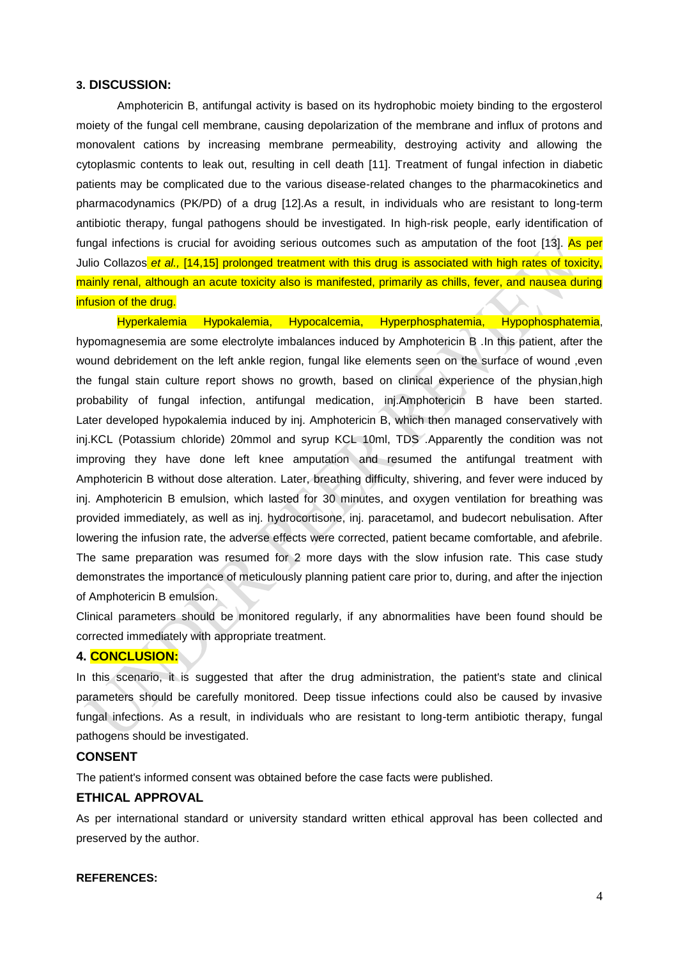#### **3. DISCUSSION:**

Amphotericin B, antifungal activity is based on its hydrophobic moiety binding to the ergosterol moiety of the fungal cell membrane, causing depolarization of the membrane and influx of protons and monovalent cations by increasing membrane permeability, destroying activity and allowing the cytoplasmic contents to leak out, resulting in cell death [11]. Treatment of fungal infection in diabetic patients may be complicated due to the various disease-related changes to the pharmacokinetics and pharmacodynamics (PK/PD) of a drug [12].As a result, in individuals who are resistant to long-term antibiotic therapy, fungal pathogens should be investigated. In high-risk people, early identification of fungal infections is crucial for avoiding serious outcomes such as amputation of the foot [13]. As per Julio [Collazos](javascript:;) *et al.,* [14,15] prolonged treatment with this drug is associated with high rates of toxicity, mainly renal, although an acute toxicity also is manifested, primarily as chills, fever, and nausea during infusion of the drug.

Hyperkalemia Hypokalemia, Hypocalcemia, Hyperphosphatemia, Hypophosphatemia, hypomagnesemia are some electrolyte imbalances induced by Amphotericin B .In this patient, after the wound debridement on the left ankle region, fungal like elements seen on the surface of wound ,even the fungal stain culture report shows no growth, based on clinical experience of the physian,high probability of fungal infection, antifungal medication, inj.Amphotericin B have been started. Later developed hypokalemia induced by inj. Amphotericin B, which then managed conservatively with inj.KCL (Potassium chloride) 20mmol and syrup KCL 10ml, TDS .Apparently the condition was not improving they have done left knee amputation and resumed the antifungal treatment with Amphotericin B without dose alteration. Later, breathing difficulty, shivering, and fever were induced by inj. Amphotericin B emulsion, which lasted for 30 minutes, and oxygen ventilation for breathing was provided immediately, as well as inj. hydrocortisone, inj. paracetamol, and budecort nebulisation. After lowering the infusion rate, the adverse effects were corrected, patient became comfortable, and afebrile. The same preparation was resumed for 2 more days with the slow infusion rate. This case study demonstrates the importance of meticulously planning patient care prior to, during, and after the injection of Amphotericin B emulsion.

Clinical parameters should be monitored regularly, if any abnormalities have been found should be corrected immediately with appropriate treatment.

# **4. CONCLUSION:**

In this scenario, it is suggested that after the drug administration, the patient's state and clinical parameters should be carefully monitored. Deep tissue infections could also be caused by invasive fungal infections. As a result, in individuals who are resistant to long-term antibiotic therapy, fungal pathogens should be investigated.

# **CONSENT**

The patient's informed consent was obtained before the case facts were published.

#### **ETHICAL APPROVAL**

As per international standard or university standard written ethical approval has been collected and preserved by the author.

# **REFERENCES:**